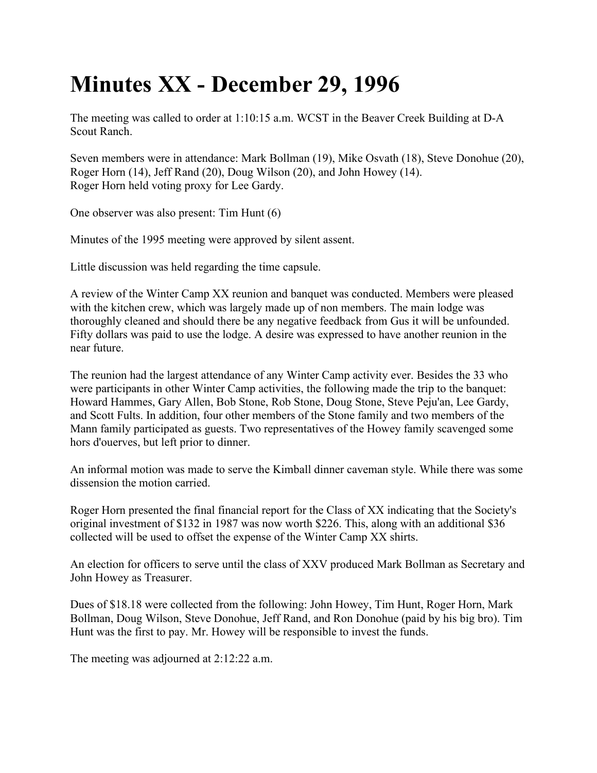## **Minutes XX - December 29, 1996**

The meeting was called to order at 1:10:15 a.m. WCST in the Beaver Creek Building at D-A Scout Ranch.

Seven members were in attendance: Mark Bollman (19), Mike Osvath (18), Steve Donohue (20), Roger Horn (14), Jeff Rand (20), Doug Wilson (20), and John Howey (14). Roger Horn held voting proxy for Lee Gardy.

One observer was also present: Tim Hunt (6)

Minutes of the 1995 meeting were approved by silent assent.

Little discussion was held regarding the time capsule.

A review of the Winter Camp XX reunion and banquet was conducted. Members were pleased with the kitchen crew, which was largely made up of non members. The main lodge was thoroughly cleaned and should there be any negative feedback from Gus it will be unfounded. Fifty dollars was paid to use the lodge. A desire was expressed to have another reunion in the near future.

The reunion had the largest attendance of any Winter Camp activity ever. Besides the 33 who were participants in other Winter Camp activities, the following made the trip to the banquet: Howard Hammes, Gary Allen, Bob Stone, Rob Stone, Doug Stone, Steve Peju'an, Lee Gardy, and Scott Fults. In addition, four other members of the Stone family and two members of the Mann family participated as guests. Two representatives of the Howey family scavenged some hors d'ouerves, but left prior to dinner.

An informal motion was made to serve the Kimball dinner caveman style. While there was some dissension the motion carried.

Roger Horn presented the final financial report for the Class of XX indicating that the Society's original investment of \$132 in 1987 was now worth \$226. This, along with an additional \$36 collected will be used to offset the expense of the Winter Camp XX shirts.

An election for officers to serve until the class of XXV produced Mark Bollman as Secretary and John Howey as Treasurer.

Dues of \$18.18 were collected from the following: John Howey, Tim Hunt, Roger Horn, Mark Bollman, Doug Wilson, Steve Donohue, Jeff Rand, and Ron Donohue (paid by his big bro). Tim Hunt was the first to pay. Mr. Howey will be responsible to invest the funds.

The meeting was adjourned at 2:12:22 a.m.